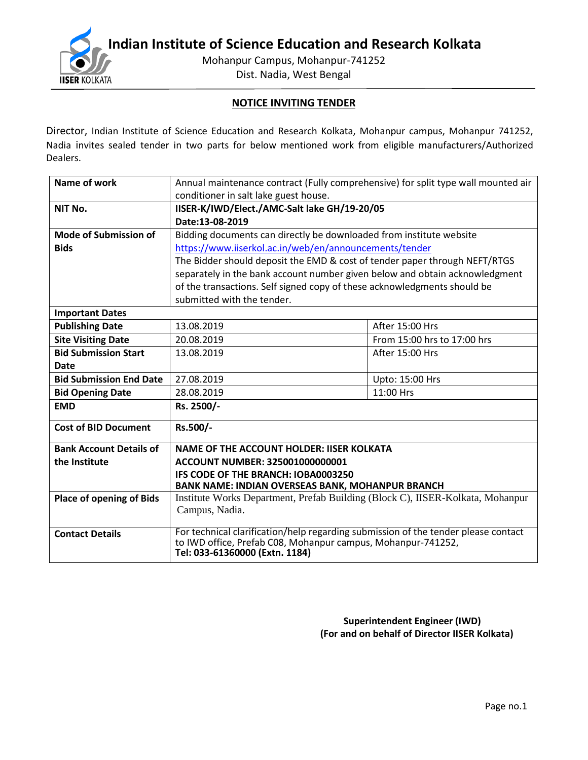**IISER KOLKATA** 

**Indian Institute of Science Education and Research Kolkata**

Mohanpur Campus, Mohanpur-741252

Dist. Nadia, West Bengal

# **NOTICE INVITING TENDER**

Director, Indian Institute of Science Education and Research Kolkata, Mohanpur campus, Mohanpur 741252, Nadia invites sealed tender in two parts for below mentioned work from eligible manufacturers/Authorized Dealers.

| Name of work                    | Annual maintenance contract (Fully comprehensive) for split type wall mounted air                                                                                                    |                 |  |  |  |
|---------------------------------|--------------------------------------------------------------------------------------------------------------------------------------------------------------------------------------|-----------------|--|--|--|
|                                 | conditioner in salt lake guest house.                                                                                                                                                |                 |  |  |  |
| NIT No.                         | IISER-K/IWD/Elect./AMC-Salt lake GH/19-20/05                                                                                                                                         |                 |  |  |  |
|                                 | Date:13-08-2019                                                                                                                                                                      |                 |  |  |  |
| Mode of Submission of           | Bidding documents can directly be downloaded from institute website                                                                                                                  |                 |  |  |  |
| <b>Bids</b>                     | https://www.iiserkol.ac.in/web/en/announcements/tender                                                                                                                               |                 |  |  |  |
|                                 | The Bidder should deposit the EMD & cost of tender paper through NEFT/RTGS                                                                                                           |                 |  |  |  |
|                                 | separately in the bank account number given below and obtain acknowledgment                                                                                                          |                 |  |  |  |
|                                 | of the transactions. Self signed copy of these acknowledgments should be                                                                                                             |                 |  |  |  |
|                                 | submitted with the tender.                                                                                                                                                           |                 |  |  |  |
| <b>Important Dates</b>          |                                                                                                                                                                                      |                 |  |  |  |
| <b>Publishing Date</b>          | 13.08.2019<br>After 15:00 Hrs                                                                                                                                                        |                 |  |  |  |
| <b>Site Visiting Date</b>       | From 15:00 hrs to 17:00 hrs<br>20.08.2019                                                                                                                                            |                 |  |  |  |
| <b>Bid Submission Start</b>     | 13.08.2019                                                                                                                                                                           | After 15:00 Hrs |  |  |  |
| <b>Date</b>                     |                                                                                                                                                                                      |                 |  |  |  |
| <b>Bid Submission End Date</b>  | 27.08.2019<br>Upto: 15:00 Hrs                                                                                                                                                        |                 |  |  |  |
| <b>Bid Opening Date</b>         | 28.08.2019<br>11:00 Hrs                                                                                                                                                              |                 |  |  |  |
| <b>EMD</b>                      | Rs. 2500/-                                                                                                                                                                           |                 |  |  |  |
| <b>Cost of BID Document</b>     | Rs.500/-                                                                                                                                                                             |                 |  |  |  |
| <b>Bank Account Details of</b>  | <b>NAME OF THE ACCOUNT HOLDER: IISER KOLKATA</b>                                                                                                                                     |                 |  |  |  |
| the Institute                   | ACCOUNT NUMBER: 325001000000001                                                                                                                                                      |                 |  |  |  |
|                                 | IFS CODE OF THE BRANCH: IOBA0003250                                                                                                                                                  |                 |  |  |  |
|                                 | <b>BANK NAME: INDIAN OVERSEAS BANK, MOHANPUR BRANCH</b>                                                                                                                              |                 |  |  |  |
| <b>Place of opening of Bids</b> | Institute Works Department, Prefab Building (Block C), IISER-Kolkata, Mohanpur<br>Campus, Nadia.                                                                                     |                 |  |  |  |
| <b>Contact Details</b>          | For technical clarification/help regarding submission of the tender please contact<br>to IWD office, Prefab C08, Mohanpur campus, Mohanpur-741252,<br>Tel: 033-61360000 (Extn. 1184) |                 |  |  |  |

 **Superintendent Engineer (IWD) (For and on behalf of Director IISER Kolkata)**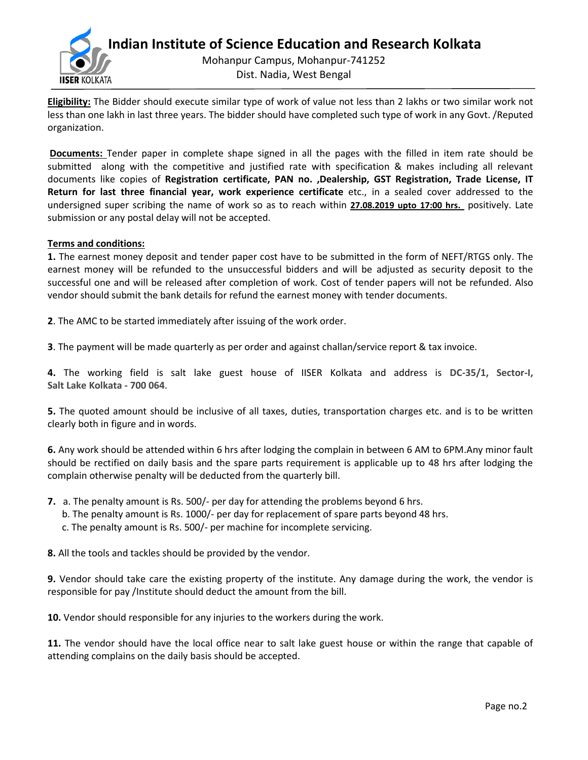

**Eligibility:** The Bidder should execute similar type of work of value not less than 2 lakhs or two similar work not less than one lakh in last three years. The bidder should have completed such type of work in any Govt. /Reputed organization.

**Documents:** Tender paper in complete shape signed in all the pages with the filled in item rate should be submitted along with the competitive and justified rate with specification & makes including all relevant documents like copies of **Registration certificate, PAN no. ,Dealership, GST Registration, Trade License, IT Return for last three financial year, work experience certificate** etc., in a sealed cover addressed to the undersigned super scribing the name of work so as to reach within **27.08.2019 upto 17:00 hrs.** positively. Late submission or any postal delay will not be accepted.

## **Terms and conditions:**

**1.** The earnest money deposit and tender paper cost have to be submitted in the form of NEFT/RTGS only. The earnest money will be refunded to the unsuccessful bidders and will be adjusted as security deposit to the successful one and will be released after completion of work. Cost of tender papers will not be refunded. Also vendor should submit the bank details for refund the earnest money with tender documents.

**2**. The AMC to be started immediately after issuing of the work order.

**3**. The payment will be made quarterly as per order and against challan/service report & tax invoice.

**4.** The working field is salt lake guest house of IISER Kolkata and address is **DC-35/1, Sector-I, Salt Lake Kolkata - 700 064**.

**5.** The quoted amount should be inclusive of all taxes, duties, transportation charges etc. and is to be written clearly both in figure and in words.

**6.** Any work should be attended within 6 hrs after lodging the complain in between 6 AM to 6PM.Any minor fault should be rectified on daily basis and the spare parts requirement is applicable up to 48 hrs after lodging the complain otherwise penalty will be deducted from the quarterly bill.

- **7.** a. The penalty amount is Rs. 500/- per day for attending the problems beyond 6 hrs.
	- b. The penalty amount is Rs. 1000/- per day for replacement of spare parts beyond 48 hrs.
	- c. The penalty amount is Rs. 500/- per machine for incomplete servicing.

**8.** All the tools and tackles should be provided by the vendor.

**9.** Vendor should take care the existing property of the institute. Any damage during the work, the vendor is responsible for pay /Institute should deduct the amount from the bill.

**10.** Vendor should responsible for any injuries to the workers during the work.

**11.** The vendor should have the local office near to salt lake guest house or within the range that capable of attending complains on the daily basis should be accepted.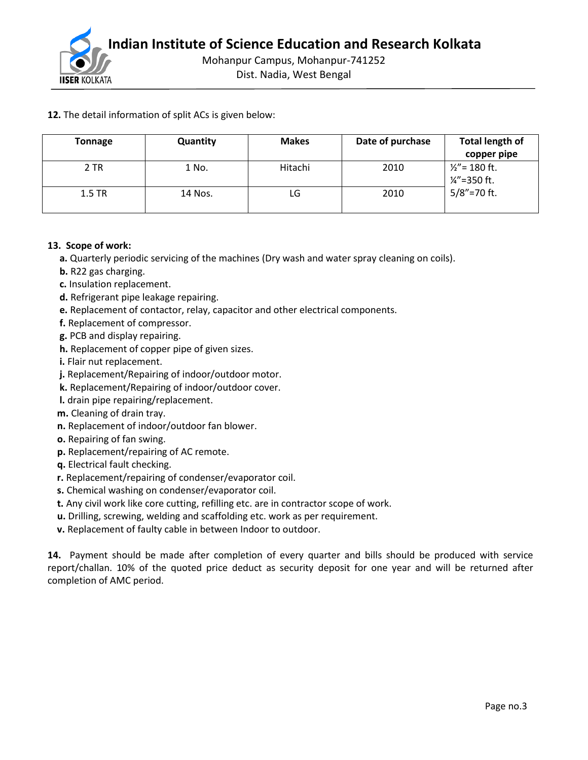

**12.** The detail information of split ACs is given below:

| <b>Tonnage</b> | <b>Quantity</b> | <b>Makes</b> | Date of purchase | <b>Total length of</b><br>copper pipe        |
|----------------|-----------------|--------------|------------------|----------------------------------------------|
| 2 TR           | 1 No.           | Hitachi      | 2010             | $1/2$ " = 180 ft.<br>$\frac{1}{4}$ "=350 ft. |
| $1.5$ TR       | 14 Nos.         | LG           | 2010             | $5/8$ " = 70 ft.                             |

## **13. Scope of work:**

- **a.** Quarterly periodic servicing of the machines (Dry wash and water spray cleaning on coils).
- **b.** R22 gas charging.
- **c.** Insulation replacement.
- **d.** Refrigerant pipe leakage repairing.
- **e.** Replacement of contactor, relay, capacitor and other electrical components.
- **f.** Replacement of compressor.
- **g.** PCB and display repairing.
- **h.** Replacement of copper pipe of given sizes.
- **i.** Flair nut replacement.
- **j.** Replacement/Repairing of indoor/outdoor motor.
- **k.** Replacement/Repairing of indoor/outdoor cover.
- **l.** drain pipe repairing/replacement.
- **m.** Cleaning of drain tray.
- **n.** Replacement of indoor/outdoor fan blower.
- **o.** Repairing of fan swing.
- **p.** Replacement/repairing of AC remote.
- **q.** Electrical fault checking.
- **r.** Replacement/repairing of condenser/evaporator coil.
- **s.** Chemical washing on condenser/evaporator coil.
- **t.** Any civil work like core cutting, refilling etc. are in contractor scope of work.
- **u.** Drilling, screwing, welding and scaffolding etc. work as per requirement.
- **v.** Replacement of faulty cable in between Indoor to outdoor.

**14.** Payment should be made after completion of every quarter and bills should be produced with service report/challan. 10% of the quoted price deduct as security deposit for one year and will be returned after completion of AMC period.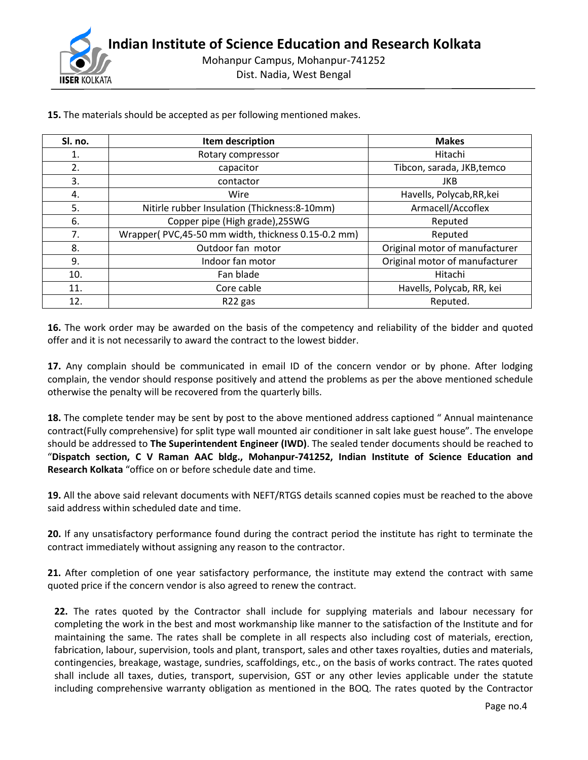

| Sl. no. | Item description                                   | <b>Makes</b>                   |  |
|---------|----------------------------------------------------|--------------------------------|--|
| 1.      | Rotary compressor                                  | Hitachi                        |  |
| 2.      | capacitor                                          | Tibcon, sarada, JKB, temco     |  |
| 3.      | contactor                                          | <b>JKB</b>                     |  |
| 4.      | Wire                                               | Havells, Polycab, RR, kei      |  |
| 5.      | Nitirle rubber Insulation (Thickness: 8-10mm)      | Armacell/Accoflex              |  |
| 6.      | Copper pipe (High grade), 25SWG                    | Reputed                        |  |
| 7.      | Wrapper(PVC,45-50 mm width, thickness 0.15-0.2 mm) | Reputed                        |  |
| 8.      | Outdoor fan motor                                  | Original motor of manufacturer |  |
| 9.      | Indoor fan motor                                   | Original motor of manufacturer |  |
| 10.     | Fan blade                                          | Hitachi                        |  |
| 11.     | Core cable                                         | Havells, Polycab, RR, kei      |  |
| 12.     | R <sub>22</sub> gas                                | Reputed.                       |  |

**15.** The materials should be accepted as per following mentioned makes.

**16.** The work order may be awarded on the basis of the competency and reliability of the bidder and quoted offer and it is not necessarily to award the contract to the lowest bidder.

**17.** Any complain should be communicated in email ID of the concern vendor or by phone. After lodging complain, the vendor should response positively and attend the problems as per the above mentioned schedule otherwise the penalty will be recovered from the quarterly bills.

**18.** The complete tender may be sent by post to the above mentioned address captioned " Annual maintenance contract(Fully comprehensive) for split type wall mounted air conditioner in salt lake guest house". The envelope should be addressed to **The Superintendent Engineer (IWD)**. The sealed tender documents should be reached to "**Dispatch section, C V Raman AAC bldg., Mohanpur-741252, Indian Institute of Science Education and Research Kolkata** "office on or before schedule date and time.

**19.** All the above said relevant documents with NEFT/RTGS details scanned copies must be reached to the above said address within scheduled date and time.

**20.** If any unsatisfactory performance found during the contract period the institute has right to terminate the contract immediately without assigning any reason to the contractor.

**21.** After completion of one year satisfactory performance, the institute may extend the contract with same quoted price if the concern vendor is also agreed to renew the contract.

**22.** The rates quoted by the Contractor shall include for supplying materials and labour necessary for completing the work in the best and most workmanship like manner to the satisfaction of the Institute and for maintaining the same. The rates shall be complete in all respects also including cost of materials, erection, fabrication, labour, supervision, tools and plant, transport, sales and other taxes royalties, duties and materials, contingencies, breakage, wastage, sundries, scaffoldings, etc., on the basis of works contract. The rates quoted shall include all taxes, duties, transport, supervision, GST or any other levies applicable under the statute including comprehensive warranty obligation as mentioned in the BOQ. The rates quoted by the Contractor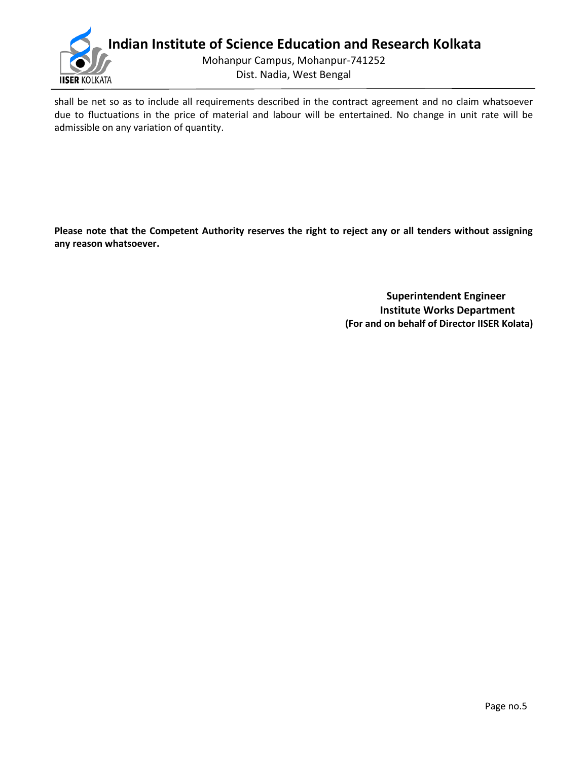

shall be net so as to include all requirements described in the contract agreement and no claim whatsoever due to fluctuations in the price of material and labour will be entertained. No change in unit rate will be admissible on any variation of quantity.

**Please note that the Competent Authority reserves the right to reject any or all tenders without assigning any reason whatsoever.**

> **Superintendent Engineer Institute Works Department (For and on behalf of Director IISER Kolata)**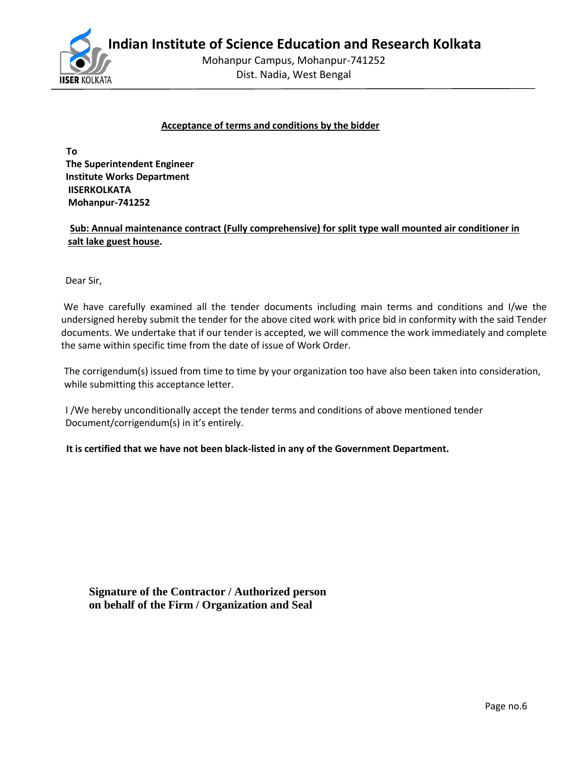**Indian Institute of Science Education and Research Kolkata**



Mohanpur Campus, Mohanpur-741252

Dist. Nadia, West Bengal

#### **Acceptance of terms and conditions by the bidder**

 **To The Superintendent Engineer Institute Works Department IISERKOLKATA Mohanpur-741252**

 **Sub: Annual maintenance contract (Fully comprehensive) for split type wall mounted air conditioner in salt lake guest house.**

Dear Sir,

We have carefully examined all the tender documents including main terms and conditions and I/we the undersigned hereby submit the tender for the above cited work with price bid in conformity with the said Tender documents. We undertake that if our tender is accepted, we will commence the work immediately and complete the same within specific time from the date of issue of Work Order.

 The corrigendum(s) issued from time to time by your organization too have also been taken into consideration, while submitting this acceptance letter.

 I /We hereby unconditionally accept the tender terms and conditions of above mentioned tender Document/corrigendum(s) in it's entirely.

 **It is certified that we have not been black-listed in any of the Government Department.** 

**Signature of the Contractor / Authorized person on behalf of the Firm / Organization and Seal**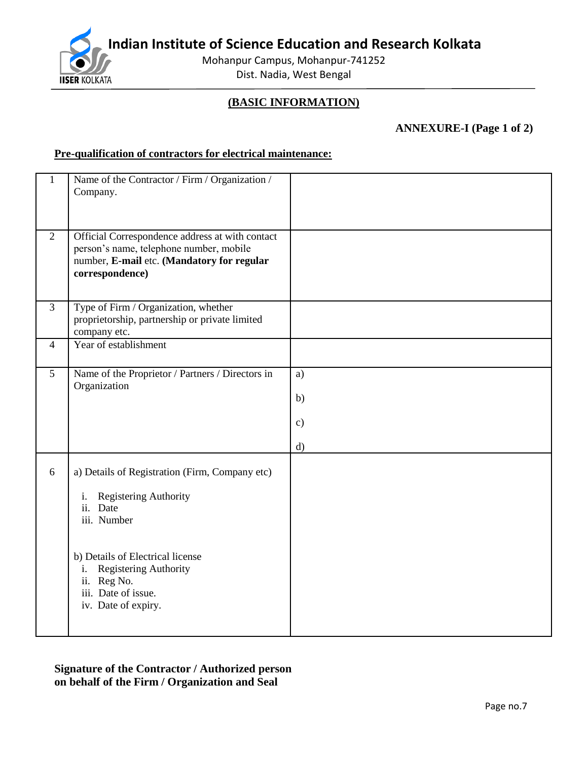**Indian Institute of Science Education and Research Kolkata**



Mohanpur Campus, Mohanpur-741252 Dist. Nadia, West Bengal

# **(BASIC INFORMATION)**

**ANNEXURE-I (Page 1 of 2)**

# **Pre-qualification of contractors for electrical maintenance:**

| $\mathbf{1}$   | Name of the Contractor / Firm / Organization /<br>Company.                                                                                                                                                                               |                                 |
|----------------|------------------------------------------------------------------------------------------------------------------------------------------------------------------------------------------------------------------------------------------|---------------------------------|
| $\overline{2}$ | Official Correspondence address at with contact<br>person's name, telephone number, mobile<br>number, E-mail etc. (Mandatory for regular<br>correspondence)                                                                              |                                 |
| 3              | Type of Firm / Organization, whether<br>proprietorship, partnership or private limited<br>company etc.                                                                                                                                   |                                 |
| $\overline{4}$ | Year of establishment                                                                                                                                                                                                                    |                                 |
| $\overline{5}$ | Name of the Proprietor / Partners / Directors in<br>Organization                                                                                                                                                                         | a)<br>b)<br>$\mathbf{c})$<br>d) |
| 6              | a) Details of Registration (Firm, Company etc)<br>Registering Authority<br>i.<br>ii. Date<br>iii. Number<br>b) Details of Electrical license<br>Registering Authority<br>i.<br>ii. Reg No.<br>iii. Date of issue.<br>iv. Date of expiry. |                                 |

**Signature of the Contractor / Authorized person on behalf of the Firm / Organization and Seal**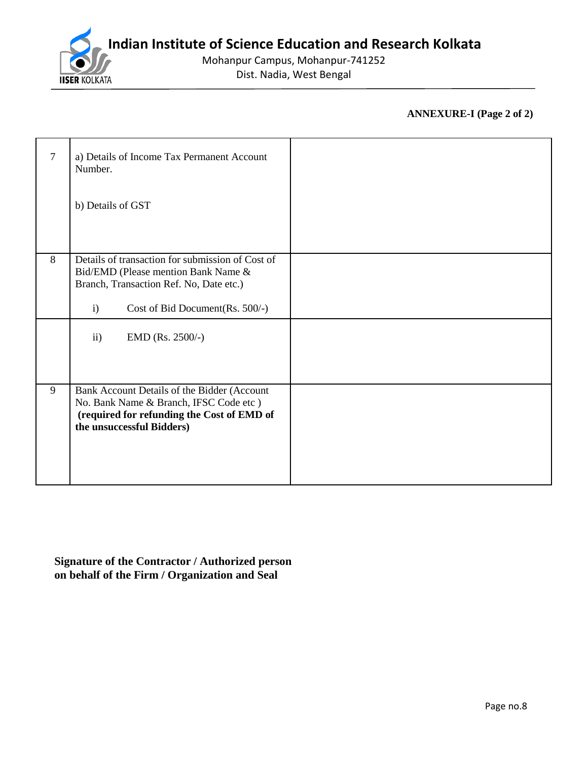

Mohanpur Campus, Mohanpur-741252 Dist. Nadia, West Bengal

# **ANNEXURE-I (Page 2 of 2)**

| 7 | a) Details of Income Tax Permanent Account<br>Number.<br>b) Details of GST                                                                                                             |  |
|---|----------------------------------------------------------------------------------------------------------------------------------------------------------------------------------------|--|
| 8 | Details of transaction for submission of Cost of<br>Bid/EMD (Please mention Bank Name &<br>Branch, Transaction Ref. No, Date etc.)<br>Cost of Bid Document (Rs. 500/-)<br>$\mathbf{i}$ |  |
|   | EMD (Rs. 2500/-)<br>$\mathbf{ii}$                                                                                                                                                      |  |
| 9 | Bank Account Details of the Bidder (Account<br>No. Bank Name & Branch, IFSC Code etc)<br>(required for refunding the Cost of EMD of<br>the unsuccessful Bidders)                       |  |

**Signature of the Contractor / Authorized person on behalf of the Firm / Organization and Seal**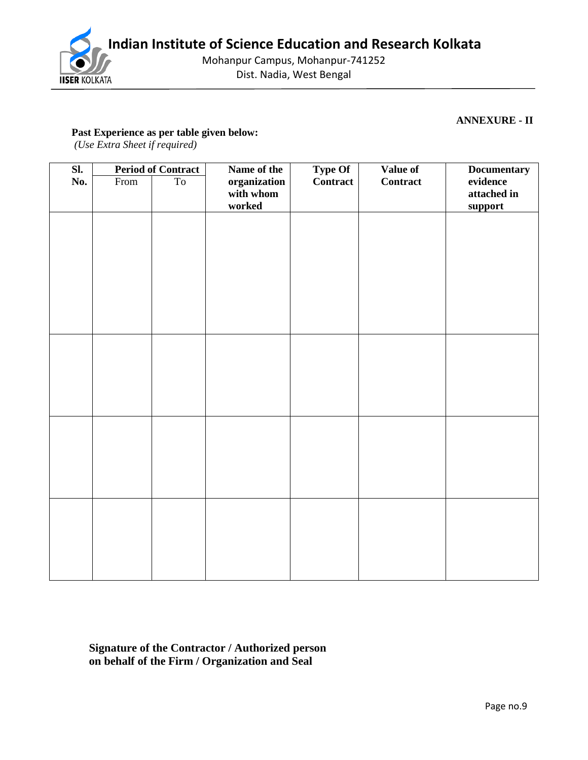

Mohanpur Campus, Mohanpur-741252 Dist. Nadia, West Bengal

#### **ANNEXURE - II**

## **Past Experience as per table given below:**

*(Use Extra Sheet if required)*

| $\overline{\text{SL}}$ |      | <b>Period of Contract</b> | Name of the               | <b>Type Of</b> | <b>Value of</b> | <b>Documentary</b>     |
|------------------------|------|---------------------------|---------------------------|----------------|-----------------|------------------------|
| No.                    | From | T <sub>o</sub>            | organization<br>with whom | Contract       | Contract        | evidence               |
|                        |      |                           | worked                    |                |                 | attached in<br>support |
|                        |      |                           |                           |                |                 |                        |
|                        |      |                           |                           |                |                 |                        |
|                        |      |                           |                           |                |                 |                        |
|                        |      |                           |                           |                |                 |                        |
|                        |      |                           |                           |                |                 |                        |
|                        |      |                           |                           |                |                 |                        |
|                        |      |                           |                           |                |                 |                        |
|                        |      |                           |                           |                |                 |                        |
|                        |      |                           |                           |                |                 |                        |
|                        |      |                           |                           |                |                 |                        |
|                        |      |                           |                           |                |                 |                        |
|                        |      |                           |                           |                |                 |                        |
|                        |      |                           |                           |                |                 |                        |
|                        |      |                           |                           |                |                 |                        |
|                        |      |                           |                           |                |                 |                        |
|                        |      |                           |                           |                |                 |                        |
|                        |      |                           |                           |                |                 |                        |
|                        |      |                           |                           |                |                 |                        |
|                        |      |                           |                           |                |                 |                        |
|                        |      |                           |                           |                |                 |                        |
|                        |      |                           |                           |                |                 |                        |
|                        |      |                           |                           |                |                 |                        |
|                        |      |                           |                           |                |                 |                        |
|                        |      |                           |                           |                |                 |                        |

**Signature of the Contractor / Authorized person on behalf of the Firm / Organization and Seal**